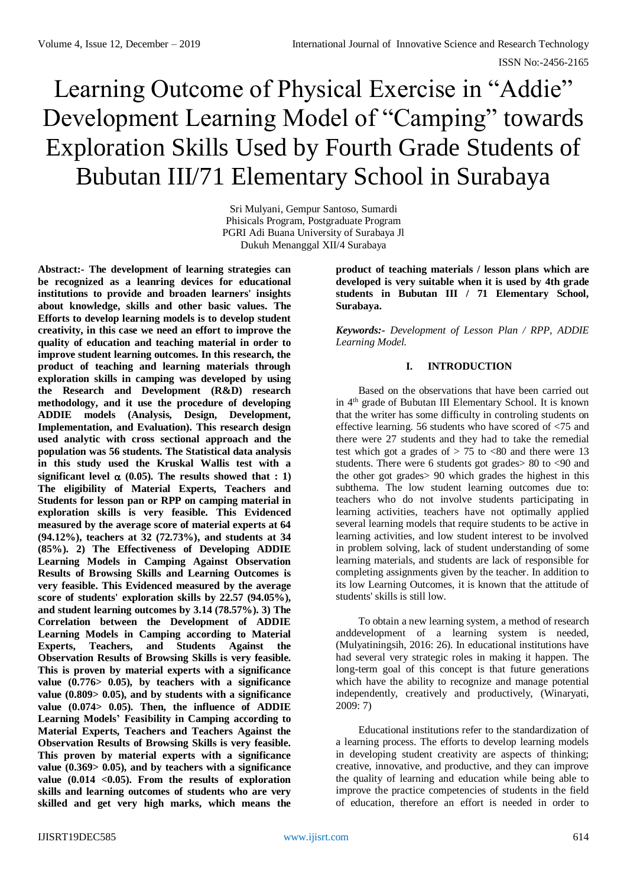# Learning Outcome of Physical Exercise in "Addie" Development Learning Model of "Camping" towards Exploration Skills Used by Fourth Grade Students of Bubutan III/71 Elementary School in Surabaya

Sri Mulyani, Gempur Santoso, Sumardi Phisicals Program, Postgraduate Program PGRI Adi Buana University of Surabaya Jl Dukuh Menanggal XII/4 Surabaya

**Abstract:- The development of learning strategies can be recognized as a leanring devices for educational institutions to provide and broaden learners' insights about knowledge, skills and other basic values. The Efforts to develop learning models is to develop student creativity, in this case we need an effort to improve the quality of education and teaching material in order to improve student learning outcomes. In this research, the product of teaching and learning materials through exploration skills in camping was developed by using the Research and Development (R&D) research methodology, and it use the procedure of developing ADDIE models (Analysis, Design, Development, Implementation, and Evaluation). This research design used analytic with cross sectional approach and the population was 56 students. The Statistical data analysis in this study used the Kruskal Wallis test with a**  significant level  $\alpha$  (0.05). The results showed that : 1) **The eligibility of Material Experts, Teachers and Students for lesson pan or RPP on camping material in exploration skills is very feasible. This Evidenced measured by the average score of material experts at 64 (94.12%), teachers at 32 (72.73%), and students at 34 (85%). 2) The Effectiveness of Developing ADDIE Learning Models in Camping Against Observation Results of Browsing Skills and Learning Outcomes is very feasible. This Evidenced measured by the average score of students' exploration skills by 22.57 (94.05%), and student learning outcomes by 3.14 (78.57%). 3) The Correlation between the Development of ADDIE Learning Models in Camping according to Material Experts, Teachers, and Students Against the Observation Results of Browsing Skills is very feasible. This is proven by material experts with a significance value (0.776> 0.05), by teachers with a significance value (0.809> 0.05), and by students with a significance value (0.074> 0.05). Then, the influence of ADDIE Learning Models' Feasibility in Camping according to Material Experts, Teachers and Teachers Against the Observation Results of Browsing Skills is very feasible. This proven by material experts with a significance value (0.369> 0.05), and by teachers with a significance value (0.014 <0.05). From the results of exploration skills and learning outcomes of students who are very skilled and get very high marks, which means the** 

**product of teaching materials / lesson plans which are developed is very suitable when it is used by 4th grade students in Bubutan III / 71 Elementary School, Surabaya.**

*Keywords:- Development of Lesson Plan / RPP, ADDIE Learning Model.*

# **I. INTRODUCTION**

Based on the observations that have been carried out in 4th grade of Bubutan III Elementary School. It is known that the writer has some difficulty in controling students on effective learning. 56 students who have scored of <75 and there were 27 students and they had to take the remedial test which got a grades of  $> 75$  to  $< 80$  and there were 13 students. There were 6 students got grades> 80 to <90 and the other got grades> 90 which grades the highest in this subthema. The low student learning outcomes due to: teachers who do not involve students participating in learning activities, teachers have not optimally applied several learning models that require students to be active in learning activities, and low student interest to be involved in problem solving, lack of student understanding of some learning materials, and students are lack of responsible for completing assignments given by the teacher. In addition to its low Learning Outcomes, it is known that the attitude of students' skills is still low.

To obtain a new learning system, a method of research anddevelopment of a learning system is needed, (Mulyatiningsih, 2016: 26). In educational institutions have had several very strategic roles in making it happen. The long-term goal of this concept is that future generations which have the ability to recognize and manage potential independently, creatively and productively, (Winaryati, 2009: 7)

Educational institutions refer to the standardization of a learning process. The efforts to develop learning models in developing student creativity are aspects of thinking; creative, innovative, and productive, and they can improve the quality of learning and education while being able to improve the practice competencies of students in the field of education, therefore an effort is needed in order to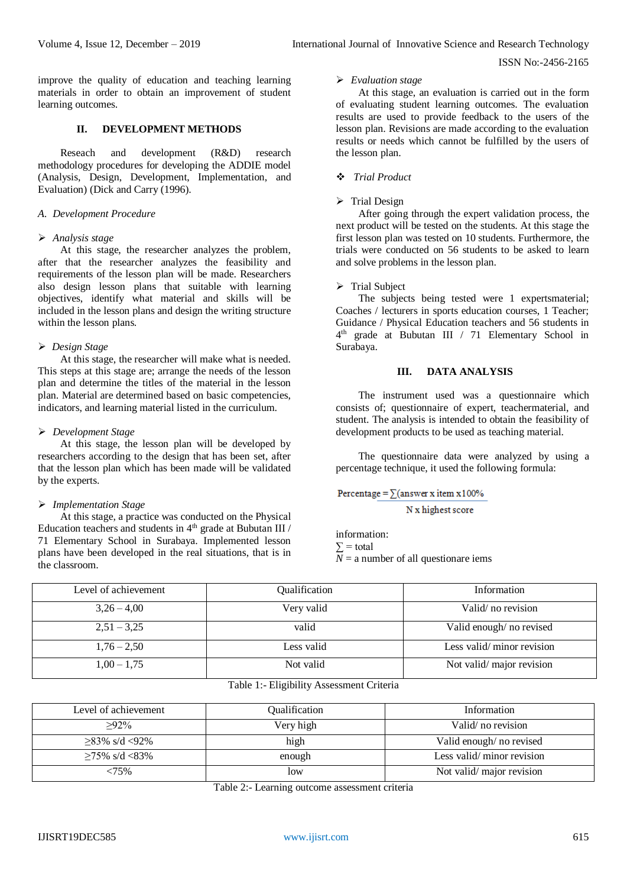improve the quality of education and teaching learning materials in order to obtain an improvement of student learning outcomes.

#### **II. DEVELOPMENT METHODS**

Reseach and development (R&D) research methodology procedures for developing the ADDIE model (Analysis, Design, Development, Implementation, and Evaluation) (Dick and Carry (1996).

## *A. Development Procedure*

#### *Analysis stage*

At this stage, the researcher analyzes the problem, after that the researcher analyzes the feasibility and requirements of the lesson plan will be made. Researchers also design lesson plans that suitable with learning objectives, identify what material and skills will be included in the lesson plans and design the writing structure within the lesson plans.

## *Design Stage*

At this stage, the researcher will make what is needed. This steps at this stage are; arrange the needs of the lesson plan and determine the titles of the material in the lesson plan. Material are determined based on basic competencies, indicators, and learning material listed in the curriculum.

## *Development Stage*

At this stage, the lesson plan will be developed by researchers according to the design that has been set, after that the lesson plan which has been made will be validated by the experts.

#### *Implementation Stage*

At this stage, a practice was conducted on the Physical Education teachers and students in 4<sup>th</sup> grade at Bubutan III / 71 Elementary School in Surabaya. Implemented lesson plans have been developed in the real situations, that is in the classroom.

#### *Evaluation stage*

At this stage, an evaluation is carried out in the form of evaluating student learning outcomes. The evaluation results are used to provide feedback to the users of the lesson plan. Revisions are made according to the evaluation results or needs which cannot be fulfilled by the users of the lesson plan.

## *Trial Product*

#### $\triangleright$  Trial Design

After going through the expert validation process, the next product will be tested on the students. At this stage the first lesson plan was tested on 10 students. Furthermore, the trials were conducted on 56 students to be asked to learn and solve problems in the lesson plan.

#### $\triangleright$  Trial Subject

The subjects being tested were 1 expertsmaterial; Coaches / lecturers in sports education courses, 1 Teacher; Guidance / Physical Education teachers and 56 students in 4<sup>th</sup> grade at Bubutan III / 71 Elementary School in Surabaya.

#### **III. DATA ANALYSIS**

The instrument used was a questionnaire which consists of; questionnaire of expert, teachermaterial, and student. The analysis is intended to obtain the feasibility of development products to be used as teaching material.

The questionnaire data were analyzed by using a percentage technique, it used the following formula:

Percentage =  $\sum$ (answer x item x 100%)

N x highest score

information:  $\Sigma$  = total  $N = a$  number of all questionare iems

| Level of achievement | Qualification | Information               |
|----------------------|---------------|---------------------------|
| $3,26 - 4,00$        | Very valid    | Valid/no revision         |
|                      |               |                           |
| $2,51 - 3,25$        | valid         | Valid enough/no revised   |
|                      |               |                           |
| $1,76 - 2,50$        | Less valid    | Less valid/minor revision |
| $1,00 - 1,75$        | Not valid     | Not valid/major revision  |
|                      | ____          |                           |

## Table 1:- Eligibility Assessment Criteria

| Level of achievement           | Qualification | Information               |
|--------------------------------|---------------|---------------------------|
| $>92\%$                        | Very high     | Valid/no revision         |
| $\geq$ 83% s/d <92%            | high          | Valid enough/no revised   |
| $\geq 75\% \text{ s/d} < 83\%$ | enough        | Less valid/minor revision |
| <75%                           | low           | Not valid/major revision  |

Table 2:- Learning outcome assessment criteria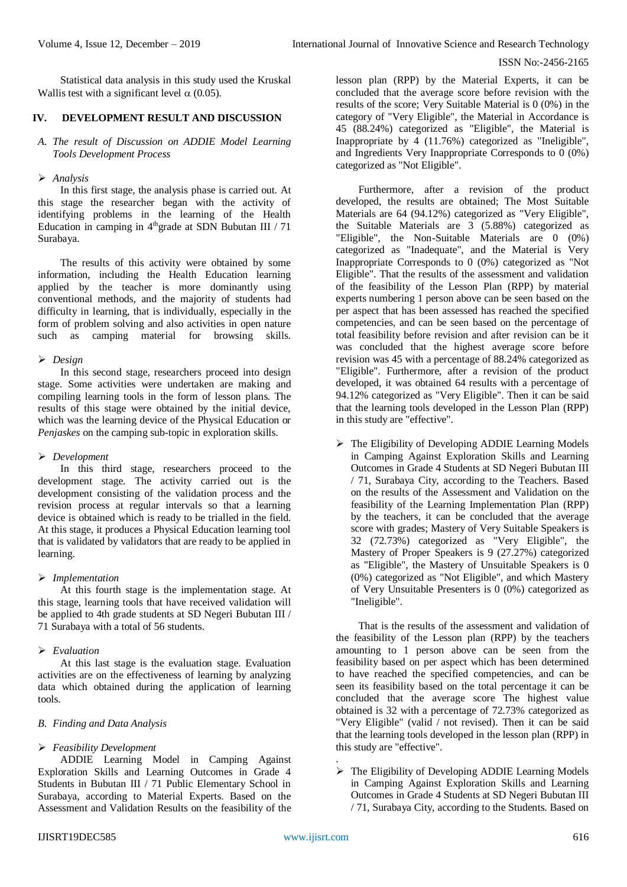Statistical data analysis in this study used the Kruskal Wallis test with a significant level  $\alpha$  (0.05).

# **IV. DEVELOPMENT RESULT AND DISCUSSION**

## *A. The result of Discussion on ADDIE Model Learning Tools Development Process*

## *Analysis*

In this first stage, the analysis phase is carried out. At this stage the researcher began with the activity of identifying problems in the learning of the Health Education in camping in  $4<sup>th</sup>$  grade at SDN Bubutan III / 71 Surabaya.

The results of this activity were obtained by some information, including the Health Education learning applied by the teacher is more dominantly using conventional methods, and the majority of students had difficulty in learning, that is individually, especially in the form of problem solving and also activities in open nature such as camping material for browsing skills.

## *Design*

In this second stage, researchers proceed into design stage. Some activities were undertaken are making and compiling learning tools in the form of lesson plans. The results of this stage were obtained by the initial device, which was the learning device of the Physical Education or *Penjaskes* on the camping sub-topic in exploration skills.

# *Development*

In this third stage, researchers proceed to the development stage. The activity carried out is the development consisting of the validation process and the revision process at regular intervals so that a learning device is obtained which is ready to be trialled in the field. At this stage, it produces a Physical Education learning tool that is validated by validators that are ready to be applied in learning.

# *Implementation*

At this fourth stage is the implementation stage. At this stage, learning tools that have received validation will be applied to 4th grade students at SD Negeri Bubutan III / 71 Surabaya with a total of 56 students.

# *Evaluation*

At this last stage is the evaluation stage. Evaluation activities are on the effectiveness of learning by analyzing data which obtained during the application of learning tools.

# *B. Finding and Data Analysis*

# *Feasibility Development*

ADDIE Learning Model in Camping Against Exploration Skills and Learning Outcomes in Grade 4 Students in Bubutan III / 71 Public Elementary School in Surabaya, according to Material Experts. Based on the Assessment and Validation Results on the feasibility of the

lesson plan (RPP) by the Material Experts, it can be concluded that the average score before revision with the results of the score; Very Suitable Material is 0 (0%) in the category of "Very Eligible", the Material in Accordance is 45 (88.24%) categorized as "Eligible", the Material is Inappropriate by 4 (11.76%) categorized as "Ineligible", and Ingredients Very Inappropriate Corresponds to  $0(0\%)$ categorized as "Not Eligible".

Furthermore, after a revision of the product developed, the results are obtained; The Most Suitable Materials are 64 (94.12%) categorized as "Very Eligible", the Suitable Materials are  $3(5.88%)$  categorized as "Eligible", the Non-Suitable Materials are 0 (0%) categorized as "Inadequate", and the Material is Very Inappropriate Corresponds to 0 (0%) categorized as "Not Eligible". That the results of the assessment and validation of the feasibility of the Lesson Plan (RPP) by material experts numbering 1 person above can be seen based on the per aspect that has been assessed has reached the specified competencies, and can be seen based on the percentage of total feasibility before revision and after revision can be it was concluded that the highest average score before revision was 45 with a percentage of 88.24% categorized as "Eligible". Furthermore, after a revision of the product developed, it was obtained 64 results with a percentage of 94.12% categorized as "Very Eligible". Then it can be said that the learning tools developed in the Lesson Plan (RPP) in this study are "effective".

 $\triangleright$  The Eligibility of Developing ADDIE Learning Models in Camping Against Exploration Skills and Learning Outcomes in Grade 4 Students at SD Negeri Bubutan III / 71, Surabaya City, according to the Teachers. Based on the results of the Assessment and Validation on the feasibility of the Learning Implementation Plan (RPP) by the teachers, it can be concluded that the average score with grades; Mastery of Very Suitable Speakers is 32 (72.73%) categorized as "Very Eligible", the Mastery of Proper Speakers is 9 (27.27%) categorized as "Eligible", the Mastery of Unsuitable Speakers is 0 (0%) categorized as "Not Eligible", and which Mastery of Very Unsuitable Presenters is 0 (0%) categorized as "Ineligible".

That is the results of the assessment and validation of the feasibility of the Lesson plan (RPP) by the teachers amounting to 1 person above can be seen from the feasibility based on per aspect which has been determined to have reached the specified competencies, and can be seen its feasibility based on the total percentage it can be concluded that the average score The highest value obtained is 32 with a percentage of 72.73% categorized as "Very Eligible" (valid / not revised). Then it can be said that the learning tools developed in the lesson plan (RPP) in this study are "effective".

 $\triangleright$  The Eligibility of Developing ADDIE Learning Models in Camping Against Exploration Skills and Learning Outcomes in Grade 4 Students at SD Negeri Bubutan III / 71, Surabaya City, according to the Students. Based on

.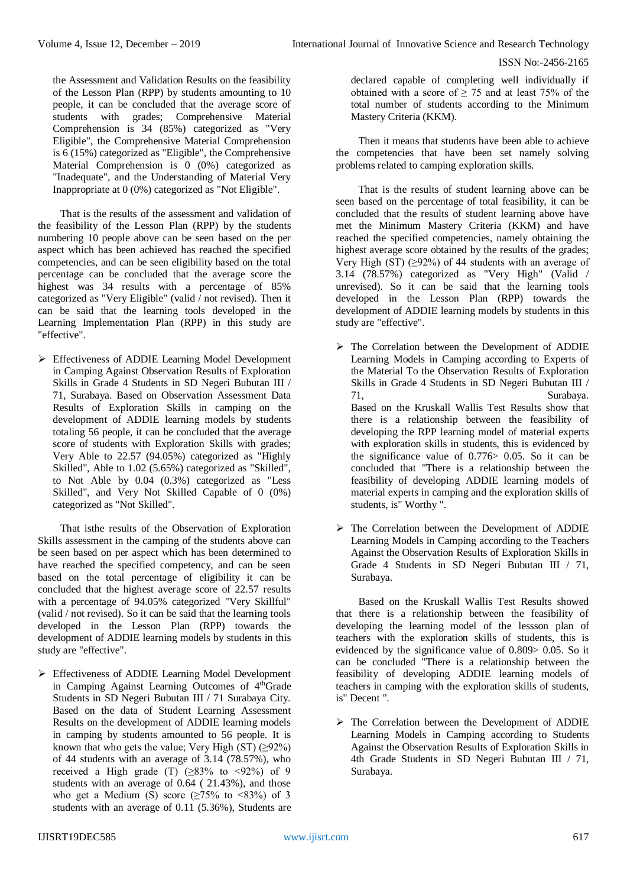the Assessment and Validation Results on the feasibility of the Lesson Plan (RPP) by students amounting to 10 people, it can be concluded that the average score of students with grades; Comprehensive Material Comprehension is 34 (85%) categorized as "Very Eligible", the Comprehensive Material Comprehension is  $6(15%)$  categorized as "Eligible", the Comprehensive Material Comprehension is 0 (0%) categorized as "Inadequate", and the Understanding of Material Very Inappropriate at 0 (0%) categorized as "Not Eligible".

That is the results of the assessment and validation of the feasibility of the Lesson Plan (RPP) by the students numbering 10 people above can be seen based on the per aspect which has been achieved has reached the specified competencies, and can be seen eligibility based on the total percentage can be concluded that the average score the highest was 34 results with a percentage of 85% categorized as "Very Eligible" (valid / not revised). Then it can be said that the learning tools developed in the Learning Implementation Plan (RPP) in this study are "effective".

 Effectiveness of ADDIE Learning Model Development in Camping Against Observation Results of Exploration Skills in Grade 4 Students in SD Negeri Bubutan III / 71, Surabaya. Based on Observation Assessment Data Results of Exploration Skills in camping on the development of ADDIE learning models by students totaling 56 people, it can be concluded that the average score of students with Exploration Skills with grades; Very Able to 22.57 (94.05%) categorized as "Highly Skilled", Able to 1.02 (5.65%) categorized as "Skilled", to Not Able by 0.04 (0.3%) categorized as "Less Skilled", and Very Not Skilled Capable of 0 (0%) categorized as "Not Skilled".

That isthe results of the Observation of Exploration Skills assessment in the camping of the students above can be seen based on per aspect which has been determined to have reached the specified competency, and can be seen based on the total percentage of eligibility it can be concluded that the highest average score of 22.57 results with a percentage of 94.05% categorized "Very Skillful" (valid / not revised). So it can be said that the learning tools developed in the Lesson Plan (RPP) towards the development of ADDIE learning models by students in this study are "effective".

 Effectiveness of ADDIE Learning Model Development in Camping Against Learning Outcomes of 4thGrade Students in SD Negeri Bubutan III / 71 Surabaya City. Based on the data of Student Learning Assessment Results on the development of ADDIE learning models in camping by students amounted to 56 people. It is known that who gets the value; Very High  $(ST)$  ( $\geq$ 92%) of 44 students with an average of 3.14 (78.57%), who received a High grade (T)  $(≥83%$  to  $≤92%$ ) of 9 students with an average of 0.64 ( 21.43%), and those who get a Medium (S) score ( $\geq$ 75% to <83%) of 3 students with an average of 0.11 (5.36%), Students are declared capable of completing well individually if obtained with a score of  $\geq$  75 and at least 75% of the total number of students according to the Minimum Mastery Criteria (KKM).

Then it means that students have been able to achieve the competencies that have been set namely solving problems related to camping exploration skills.

That is the results of student learning above can be seen based on the percentage of total feasibility, it can be concluded that the results of student learning above have met the Minimum Mastery Criteria (KKM) and have reached the specified competencies, namely obtaining the highest average score obtained by the results of the grades; Very High  $(ST)$  ( $\geq$ 92%) of 44 students with an average of 3.14 (78.57%) categorized as "Very High" (Valid / unrevised). So it can be said that the learning tools developed in the Lesson Plan (RPP) towards the development of ADDIE learning models by students in this study are "effective".

- The Correlation between the Development of ADDIE Learning Models in Camping according to Experts of the Material To the Observation Results of Exploration Skills in Grade 4 Students in SD Negeri Bubutan III / 71, Surabaya. Based on the Kruskall Wallis Test Results show that there is a relationship between the feasibility of developing the RPP learning model of material experts with exploration skills in students, this is evidenced by the significance value of  $0.776 > 0.05$ . So it can be concluded that "There is a relationship between the feasibility of developing ADDIE learning models of material experts in camping and the exploration skills of students, is" Worthy ".
- $\triangleright$  The Correlation between the Development of ADDIE Learning Models in Camping according to the Teachers Against the Observation Results of Exploration Skills in Grade 4 Students in SD Negeri Bubutan III / 71, Surabaya.

Based on the Kruskall Wallis Test Results showed that there is a relationship between the feasibility of developing the learning model of the lessson plan of teachers with the exploration skills of students, this is evidenced by the significance value of 0.809> 0.05. So it can be concluded "There is a relationship between the feasibility of developing ADDIE learning models of teachers in camping with the exploration skills of students, is" Decent ".

 The Correlation between the Development of ADDIE Learning Models in Camping according to Students Against the Observation Results of Exploration Skills in 4th Grade Students in SD Negeri Bubutan III / 71, Surabaya.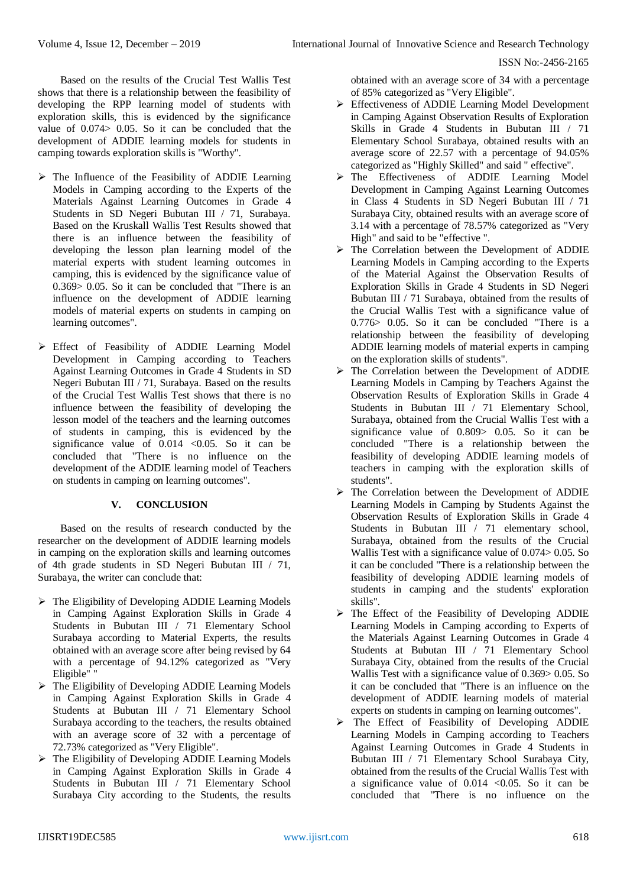Based on the results of the Crucial Test Wallis Test shows that there is a relationship between the feasibility of developing the RPP learning model of students with exploration skills, this is evidenced by the significance value of 0.074> 0.05. So it can be concluded that the development of ADDIE learning models for students in camping towards exploration skills is "Worthy".

- $\triangleright$  The Influence of the Feasibility of ADDIE Learning Models in Camping according to the Experts of the Materials Against Learning Outcomes in Grade 4 Students in SD Negeri Bubutan III / 71, Surabaya. Based on the Kruskall Wallis Test Results showed that there is an influence between the feasibility of developing the lesson plan learning model of the material experts with student learning outcomes in camping, this is evidenced by the significance value of 0.369> 0.05. So it can be concluded that "There is an influence on the development of ADDIE learning models of material experts on students in camping on learning outcomes".
- Effect of Feasibility of ADDIE Learning Model Development in Camping according to Teachers Against Learning Outcomes in Grade 4 Students in SD Negeri Bubutan III / 71, Surabaya. Based on the results of the Crucial Test Wallis Test shows that there is no influence between the feasibility of developing the lesson model of the teachers and the learning outcomes of students in camping, this is evidenced by the significance value of  $0.014$  <0.05. So it can be concluded that "There is no influence on the development of the ADDIE learning model of Teachers on students in camping on learning outcomes".

# **V. CONCLUSION**

Based on the results of research conducted by the researcher on the development of ADDIE learning models in camping on the exploration skills and learning outcomes of 4th grade students in SD Negeri Bubutan III / 71, Surabaya, the writer can conclude that:

- $\triangleright$  The Eligibility of Developing ADDIE Learning Models in Camping Against Exploration Skills in Grade 4 Students in Bubutan III / 71 Elementary School Surabaya according to Material Experts, the results obtained with an average score after being revised by 64 with a percentage of 94.12% categorized as "Very Eligible" "
- $\triangleright$  The Eligibility of Developing ADDIE Learning Models in Camping Against Exploration Skills in Grade 4 Students at Bubutan III / 71 Elementary School Surabaya according to the teachers, the results obtained with an average score of 32 with a percentage of 72.73% categorized as "Very Eligible".
- $\triangleright$  The Eligibility of Developing ADDIE Learning Models in Camping Against Exploration Skills in Grade 4 Students in Bubutan III / 71 Elementary School Surabaya City according to the Students, the results

obtained with an average score of 34 with a percentage of 85% categorized as "Very Eligible".

- Effectiveness of ADDIE Learning Model Development in Camping Against Observation Results of Exploration Skills in Grade 4 Students in Bubutan III / 71 Elementary School Surabaya, obtained results with an average score of 22.57 with a percentage of 94.05% categorized as "Highly Skilled" and said " effective".
- The Effectiveness of ADDIE Learning Model Development in Camping Against Learning Outcomes in Class 4 Students in SD Negeri Bubutan III / 71 Surabaya City, obtained results with an average score of 3.14 with a percentage of 78.57% categorized as "Very High" and said to be "effective ".
- > The Correlation between the Development of ADDIE Learning Models in Camping according to the Experts of the Material Against the Observation Results of Exploration Skills in Grade 4 Students in SD Negeri Bubutan III / 71 Surabaya, obtained from the results of the Crucial Wallis Test with a significance value of 0.776> 0.05. So it can be concluded "There is a relationship between the feasibility of developing ADDIE learning models of material experts in camping on the exploration skills of students".
- The Correlation between the Development of ADDIE Learning Models in Camping by Teachers Against the Observation Results of Exploration Skills in Grade 4 Students in Bubutan III / 71 Elementary School, Surabaya, obtained from the Crucial Wallis Test with a significance value of 0.809> 0.05. So it can be concluded "There is a relationship between the feasibility of developing ADDIE learning models of teachers in camping with the exploration skills of students".
- $\triangleright$  The Correlation between the Development of ADDIE Learning Models in Camping by Students Against the Observation Results of Exploration Skills in Grade 4 Students in Bubutan III / 71 elementary school, Surabaya, obtained from the results of the Crucial Wallis Test with a significance value of 0.074> 0.05. So it can be concluded "There is a relationship between the feasibility of developing ADDIE learning models of students in camping and the students' exploration skills".
- $\triangleright$  The Effect of the Feasibility of Developing ADDIE Learning Models in Camping according to Experts of the Materials Against Learning Outcomes in Grade 4 Students at Bubutan III / 71 Elementary School Surabaya City, obtained from the results of the Crucial Wallis Test with a significance value of 0.369> 0.05. So it can be concluded that "There is an influence on the development of ADDIE learning models of material experts on students in camping on learning outcomes".
- $\triangleright$  The Effect of Feasibility of Developing ADDIE Learning Models in Camping according to Teachers Against Learning Outcomes in Grade 4 Students in Bubutan III / 71 Elementary School Surabaya City, obtained from the results of the Crucial Wallis Test with a significance value of  $0.014$  <0.05. So it can be concluded that "There is no influence on the